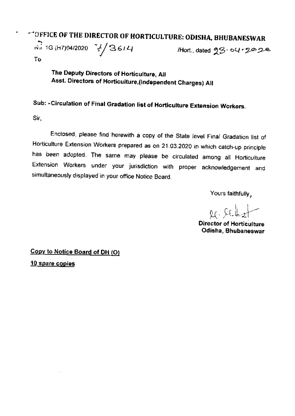## \*\*\* OFFICE OF THE DIRECTOR OF HORTICULTURE: ODISHA, BHUBANESWAR

 $\sqrt{3}$  1G (H7)94/2020  $\frac{3}{4}$  3614

Hort., dated 23.04.2028

Τo

The Deputy Directors of Horticulture, All Asst. Directors of Horticulture, (Independent Charges) All

## Sub: - Circulation of Final Gradation list of Horticulture Extension Workers.

Sir.

Enclosed, please find herewith a copy of the State level Final Gradation list of Horticulture Extension Workers prepared as on 21.03.2020 in which catch-up principle has been adopted. The same may please be circulated among all Horticulture Extension Workers under your jurisdiction with proper acknowledgement and simultaneously displayed in your office Notice Board.

Yours faithfully,

 $\alpha$  , let  $\beta$ 

**Director of Horticulture** Odisha, Bhubaneswar

Copy to Notice Board of DH (O)

10 spare copies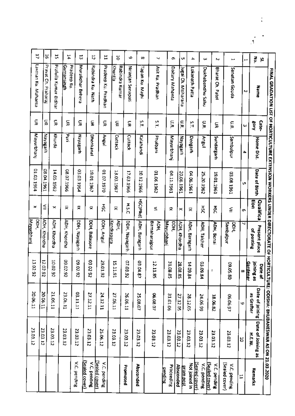|    | FINAL GRADATION LIST OF HORTICULTURE EXTENSION WORKERS UNDER DIRECTORATE OF HORTICL |                      |                   |               |                  |                             |                                  |                | <b>JLTURE: ODISHA: BHUBANESWAR AS ON 21.03.2020</b> |                                      |
|----|-------------------------------------------------------------------------------------|----------------------|-------------------|---------------|------------------|-----------------------------|----------------------------------|----------------|-----------------------------------------------------|--------------------------------------|
|    | ē<br>Š,<br>Name                                                                     | Cate-<br><b>Sory</b> | <b>Home Dist.</b> | Date of Birth | Qualifica<br>ŝ   | Present place<br>of posting | joining as<br><b>Date of</b>     | as Grafter     | Date of joining Date of Joining as<br>HEW           | Remarks                              |
|    | $\mapsto$<br>N                                                                      | ω                    | ᅀ                 | U.            | ø                | ч                           | Gardener<br>$\infty$             | $\ddot{\circ}$ | 5                                                   | H                                    |
| Ľ  | Sanatan Gouda                                                                       | Ξ                    | ambalpur          | 1961 80 80    | ≦                | Sambalpur<br>bbH)           | 08.25.80                         | 06.06.97       | 23.03.12                                            | (Jealed cover)<br>V.C. pending       |
| Ζ  | Bharat Ch. Patel                                                                    | S                    | Sundargarh        | 19.01.1961    | ន្ត              | ADH, Bonai                  |                                  | 18.06.82       | 23.03.12                                            | V.C. pending                         |
| ω  | Dukhabandhu Sahu                                                                    | ã                    | <b>Angul</b>      | 25.20.1962    | šť               | <b>AOH, Talcher</b>         | 63.09<br>$\overline{\mathbf{r}}$ | 24.06.99       | 23.03.12                                            | <b>Sealed cover)</b><br>V.C. pending |
| 4  | Lokanath Patta                                                                      | ΣT.                  | Deogarh           | D4.06.1961    | 귯                | ADH, Baragarh               | 14.09<br>-<br>Ri                 | 28.12.05       | 23.03.12                                            | Not joined in<br>Sealed cover)       |
| Ŷ. | Jugal Ch. Moharana                                                                  | Ξ                    | Nayagarh          | 20.06.1961    | ×                | ADH, Khordha                | 28.08<br>ä                       | 27.12.05       | 23.03.12                                            | Absconded<br><u>prompost</u>         |
| G. | Daitary Mahanta                                                                     | ۲F<br>پ              | Mayurbhanj        | 04.11.1961    | 즂                | Mayurbhani<br>DDH,          | 30.15<br>ġ.                      | 31.01.06       | 23.03.12                                            | Proceeding                           |
| N  | Asit Ku, Pradhan                                                                    | ζŢ.                  | Phulbani          | 01.06.1962    | Ś                | Birmaharajpur<br>ADH.       | 12.11.<br>ġ.                     | 06.08.07       | 23.03.12                                            | pending                              |
| œ  | Tapan Ku, Majhi                                                                     | Š.                   | <b>Kalahandi</b>  | 10.12.1966    | <b>HSC(PIkd)</b> | ADH, Baragarh               | 03.04<br>ë,                      | 25.08.07       | 23.03.12                                            | Absconded                            |
| 6  | Niranjan Senapati                                                                   | ş                    | Cuttack           | 17.03.1966    | <b>H.S.C</b>     | DDH, Nayagarh               | 07.03.<br>3                      | 26.06.11       | 23.03.12                                            | Promoted                             |
| ă  | Khuntla<br>Rabindra Kumar                                                           | 돞                    | Cuttack           | 13.03.1967    | ×                | Kendrapara<br>ADH,          | 15.11.<br>٣                      | 27.06.11       | 23.03.12                                            |                                      |
| Ξ  | Pradeep Ku. Pradhan                                                                 | 듳                    | <b>Angul</b>      | 07.1970       | 쯎                | DDH, Angul                  | 29.01.<br>26                     | 24.12.11       | 25.06.12                                            | (Sealed cover)<br>V.C. pending       |
| r, | Rabindra Ku. Nath                                                                   | 둨                    | Dhenkanal         | 19.01.1967    | 듖                | DDH, Balasore               | 03.02:<br>ని                     | 27.12.11       | 23.03.12                                            | [Javo: balea]<br>V.C. pending        |
| 2  | Muralidhar Behera                                                                   | S                    | <b>Hayagach</b>   | 03.03.1964    | ×                | DDH, Nayagarh               | 20.02.92                         | 03.11.11       | 23.03.12                                            | V.C. pending                         |
| 14 | <u>Gumansingh</u><br>Pradeep Ku.                                                    | 듳                    | E<br>E            | 08.07.1966    | 귯                | ADH, Khordha                | 09.02.92                         | 23.06.11       | 23.03.12                                            |                                      |
| 15 | Pratulla Kumar Bidhar                                                               | ă                    | Khurda            | 14.05.1962    | ×                | <b>ADH, Khordha</b>         | 10.02.92                         | 21.06.11       | 23.03.12                                            |                                      |
| 5  | Pravat Ch.<br>Praharaj                                                              | g                    | <b>Hayagarh</b>   | 1961 to 80    | ≦                | <b>ADH, Khordha</b>         | 12.02.92                         | 20.06.11       | 23.03.12                                            |                                      |
| Д  | Laxman Ku. Mahanta                                                                  | ş                    | Mayurbhanj        | 01.03.1964    | ×                | Mayurbhani<br>DDH,          | 13:02:92                         | 20.06.11       | 23.03.12                                            |                                      |
|    |                                                                                     |                      |                   |               |                  |                             |                                  |                |                                                     |                                      |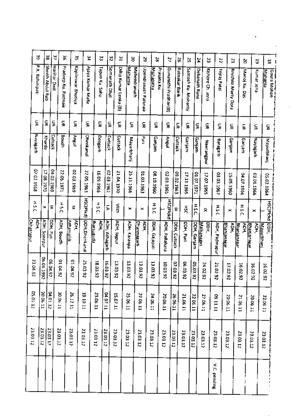|                   | å,              |              | ᇥ                | 5<br>፠                                       | ێ                         | ž                     | ین                               |                      | ٣,<br>띺                | క                    | ĉ,                                                 |               | X                     | а                    | X                     | R                   | 24                   | Ά                  | Z,            | N                          | Θ                          | 5                          | ᇥ                      |
|-------------------|-----------------|--------------|------------------|----------------------------------------------|---------------------------|-----------------------|----------------------------------|----------------------|------------------------|----------------------|----------------------------------------------------|---------------|-----------------------|----------------------|-----------------------|---------------------|----------------------|--------------------|---------------|----------------------------|----------------------------|----------------------------|------------------------|
|                   | P.K. Bahinipati |              | Sheikh Abdul Rub | <b>Harihar Dixit</b><br>Pradeep Ku. Pattnaik | Kapiteswar Bhutiya        | Ajaya Kumar Malla     | Tapan Ku, Sahu                   | Somanath Dhal        | Dillip Kumar Lenka (B) | <b>Elnarient</b>     | <b>Mahendranath</b><br><b>Upendranath Patinaik</b> | Mohapatra     | Prasana Ku.           | Gunanidhi Pradhan(B) | <b>Ratnakar Barik</b> | Santosh Ku. Mohanty | <b>Debanaih Rana</b> | Kishore Ch. Jena   | Tejraj Patel  | Krushna Murty Dora         | Manoj Ku, Das              | Kumar Jéna                 | Goura Mohan<br>Mahanta |
|                   | 도               | S            | 듶                | S                                            | S                         | š                     | š                                | ã                    | š                      | 듶                    | g                                                  | ç             |                       | ş                    | ã                     | S                   | S                    | S                  | S             | ş                          | 듳                          | š                          | ã                      |
|                   | <b>Unagarh</b>  | Khurda       | Cuttack          | Boudh                                        | <b>Instay</b>             | Dhenkanal             | Degarh                           | Cutlack              | Cuttack                | Mayurbhanj           | <b>Run</b>                                         | urețuregi     |                       | <b>Angul</b>         | Cuttack               | Ganjam              | Ganjam               | <b>Mayrangpur</b>  | Baragarh      | Ganjam                     | Ganjam                     | <b>Hayagarh</b>            | Mayurbhan              |
|                   | 07.02.1968      | 17.08.1970   | 04.03.1969       | 22.05.1971                                   | 02.03.1969                | 22.05.1963            | 16.09.1966                       | 02.03.1961           | 21.04.1970             | 25.11.1966           | 01.03.1963                                         | 095101300     |                       | 02.03.1965           | 09.02.1963            | 17.11.1965          | 01.07.1971           | 17.07.1965         | 03.03.1967    | 15.05.1960                 | 04.07.1966                 | 03.01.1966                 | 05.02.1964             |
|                   | H.S. C          | ×            | ×                | 55H                                          | ×                         | <b>HSC(PIkd)</b>      | H.S.C.                           | Σ                    | 言子                     | $\mathbf{x}$         | ×                                                  | H.S.C.        |                       | <b>HSCIPICKd</b>     | ×                     | ភ្ន                 | HSL                  | ₹                  | ٢,<br>⌒       | ×                          | <b>H.S.C.</b>              | ×                          | <b>HSC(PIckd</b>       |
| <b>Chhatrapur</b> | у<br>Рон,       | ADH, Sonepur | DOH, Puri        | ADH, Boudh                                   | <u>Alligmanik</u><br>АDH, | <b>ODH, Dhenkanal</b> | the control<br><u>bharsuguda</u> | <b>ADH, Alhagarh</b> | <b>ADH, Iajpur</b>     | <b>ADH, Karanjia</b> | Charmagarh<br>ŠР                                   | DDH, Gajapati | <b>ADH. Pallahara</b> |                      | DDH, Cutlack          | DDH, Puri           | DDH, Ganjam          | Makanagiri<br>DDH, | ADH, Padmapur | <u>Bhanjanagar</u><br>АÒН, | <u>Bhanianagar</u><br>ADH. | <u>Bhanlanagar</u><br>AQH, | looң,<br>Mayurbhani    |
| 23.04.91<br>N     |                 | 06.04.1992   | 06.04.92         | 01.04.92                                     | C6'r0'10                  | 25.03.92              | 18.03.92                         | 16.03.92             | 13.03.92               | 13.03.92             | 13.03.92                                           | 13.03.92      | 10.03<br>ని           |                      | :020<br>$\approx$     | CC 90<br>2          | 05.03.<br>3          | 24.02<br>is.       | 21.02<br>3    | 17.02<br>3                 | 16.02<br>87                | 16.02<br>$\mathbf{S}$      | 16.02<br>82            |
| 05.01.12          |                 | 20.06.11     | 04.01.12         | 30.06.11                                     | 26.12.11                  | 19.10.11              | 23.06.11                         | DA.07.11             | 15.07.11               | 25.06.11             | 22.06.11                                           | 24.06.11      | 20.06.11              |                      | 26.06.11              | 21.06.11            | 22.06.11             | 27.06.11           | m.11.11       | 20.06.11                   | 21.06.11                   | 20.06.11                   | 22.06.11               |
| 23.03.12          |                 | 23.03.12     | 23.03.17         | 23.03.12                                     | 23.03.12                  | 23.03.12              | 23.03.12                         | 23.03.12             | 23.03.12               | 23.03.12             | 23.03.12                                           | 23.03.12      | 23.03.12              | 23.03.12             |                       | 23.03.12            | 23.03.12             | 23.03.12           | 23.03.12      | 23.03.12                   | 23.03.12                   | 23.03.12                   | 23.03.12               |
|                   |                 |              |                  |                                              |                           |                       |                                  |                      |                        |                      |                                                    |               |                       |                      |                       |                     |                      |                    | V.C. pending  |                            |                            |                            |                        |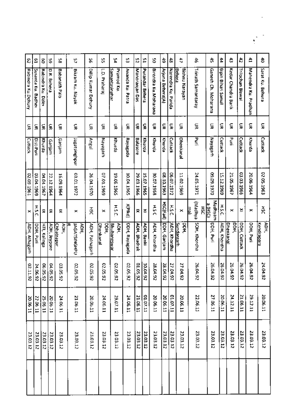| 47<br>ŧ,<br>đ<br>ᅀ<br>ਠੈ<br>ţ, | Sarat Ku. Behura<br>Kedar Chandra Barik<br>Marechard Ko. Pradhan<br>Trilochan Biswal | ç<br>ş<br>듳<br>듶 | Cuttack<br>E.<br>Cuttack<br>Khurda | 03.03.1966<br>02.05.1963<br>20.06.1964 | Ř<br>×<br>×               | ADH.<br>DDH, Cuttack<br>Kendrapara<br>DDH, Puri | 24.04.92<br>26.04.92<br>26.04.92 | 29.12.11<br>20.06.11 | 23.03.12<br>23.03.12 |  |
|--------------------------------|--------------------------------------------------------------------------------------|------------------|------------------------------------|----------------------------------------|---------------------------|-------------------------------------------------|----------------------------------|----------------------|----------------------|--|
|                                |                                                                                      |                  |                                    |                                        |                           |                                                 |                                  |                      |                      |  |
|                                |                                                                                      |                  |                                    |                                        |                           |                                                 |                                  |                      |                      |  |
|                                |                                                                                      |                  |                                    |                                        |                           |                                                 |                                  | 21.06.11             | 23.03.12             |  |
|                                |                                                                                      |                  |                                    | 21.05.1967                             | ×                         | iobri<br><u>Dhenkanal</u>                       | 26.04.92                         | 24.12.11             | 23.03.12             |  |
|                                | Bipin Bihari Samal                                                                   | ç                | Cuttack                            | 53.12.1969                             | HS.C                      | <b>ADH, Khordha</b>                             | 26.04.92                         | 20.06.11             | 23.03.12             |  |
|                                | Ganesh Ch. Moharana                                                                  | 듷                | Mayagarh                           | 0261.60.60                             | Madhyam<br><b>a tHSCI</b> | DOH, Puri                                       | 26,04.92                         | 27.06.11             | 23.03.12             |  |
| 숤                              | Trinath Samantaray                                                                   | 듳                | Pari                               | 24.05.1971                             | (Madhya<br>នី<br>Ē        | SOH, Khordha                                    | 26.04.92                         | 22.06.11             | 23.03.12             |  |
| 4                              | Bishnu Narayan<br><b>Behera</b>                                                      | 듶                | Dhenkanal                          | 11.02.1969                             | ×                         | Sundargarh<br>DDH,                              | 27.04.92                         | 20.06.11             | 23.03.12             |  |
| 춚                              | Narendra Ku. Parida                                                                  | ş                | Cuttack                            | 06.07.1972                             | <b>HSC</b>                | <b>ADH, Khordha</b>                             | 27.04.92                         | 01.07.11             | 23.03.12             |  |
| ţ,                             | Arjuna Behera(A)                                                                     | 듳                | Khurda                             | 08.10.1963                             | <b>HSC(Fail)</b>          | DDH, Ganjam                                     | 28.04.92                         | 20.06.11             | 23.03.12             |  |
| Β                              | <b>Direbuta Ku.Moharasa</b>                                                          | ã                | sturda                             | 30.07.1968                             | H.S.C                     | <b>ADH, Khordha</b>                             | 28.04.92                         | 20.06.11             | 23.03.12             |  |
| Ľ5                             | Purandar Behera                                                                      | ç                | Khurda                             | 15.07.1965                             | ×                         | AOH, Banki                                      | 30.04.92                         | 01.07.11             | 23.03.12             |  |
| 13                             | Manoranjan Das                                                                       | S                | Balasore                           | 29.03.1966                             | ×                         | AOH, Bhadrak                                    | 15070<br>2                       | 21.06.11             | 23.03.12             |  |
| ť.                             | Ananda Ku. Patra                                                                     | S                | Rayagada                           | 10.04.1965                             | <b>X(PMd)</b>             | DDH, Rayagada                                   | 02.05.<br>8                      | 24.06.11             | 23.03.12             |  |
| 섶                              | Pramod Ku<br><u>Samantasinghar</u>                                                   | 듳                | <b>Ahurda</b>                      | 19.06.1965                             | <b>H.S.C.</b>             | ADH.<br><b>Bhubaneswar</b>                      | 2020<br>82                       | 29.07.11             | 23.03.12             |  |
| x                              | L.D. Praharaj                                                                        | 듶                | Nayagarh                           | 07.01.1969                             | ×                         | <b>DOH,</b><br><u>Dhenkanal</u>                 | 02.05.<br>٩,                     | 24.06.11             | 23.03.12             |  |
| ፠                              | Dilip Kumar Dehury                                                                   | 듶                | Angul                              | 26.04.1970                             | ŠК                        | ADH, Patnagarh                                  | 02.05.<br>ని                     | 20.06.11             | 23.03.12             |  |
| 5                              | Bikram Ku, Nayak                                                                     | ş                | Jagatsinghpur                      | 03.01.1972                             | ×                         | <b>JAGATSINGHPU</b><br>АDH,                     | 02.05.<br>К                      | 21.06.11             | 23.03.12             |  |
| 뚦                              | Babanath Palo                                                                        | 듶                | Ganjam                             | 16.09.1964                             | 륫                         | ADH.<br><b>Chhatrapur</b>                       | 03.05<br>۴,                      | 24.06.11             | 23.03.12             |  |
| κ,                             | D.R. Behera                                                                          | £                | Ganjam                             | 22.12.1964                             | 륯                         | ADH, Jeypore                                    | DA.05.<br>$\frac{1}{2}$          | 20.06.11             | 23.03.12             |  |
| 8                              | Rabindra Ku. Dale                                                                    | 듷                | <b>Rhurda</b>                      | LO 1.04.1967                           | 륯                         | <b>HTI, Kalinga</b>                             | <b>CG.05</b><br>S                | 25.06.11             | 23.03.12             |  |
| Ξ                              | Susanta Ku. Badhei                                                                   | 듳                | Dist-Puri                          | <b>6961 PD 20</b>                      | <b>H.S.C.</b>             | DDH, Puri                                       | 24.06.<br>$\tilde{\mathcal{S}}$  | 22.06.11             | 23.03.12             |  |
| S                              | Rabindra Ku.Dehury                                                                   | 듰                | Cuttack                            | 1961 60 20                             | ×                         | ADH, Athagarh                                   | 1770<br>8                        | 20.06.11             | 23.03.12             |  |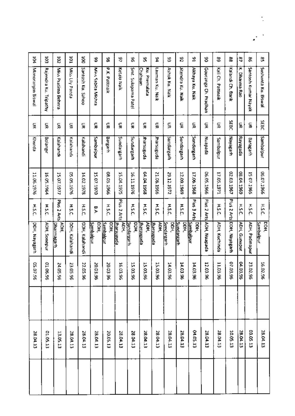| ğ                 | ៍                     | š                           | ğ               | ទី                | \$                              | 98                       | 5                 | θ                         | S,                       | \$                       | χ                         | 9                  | ٩                    | 8                              | 3                | æ                 | e,                     | ፠                   | 엾                   |
|-------------------|-----------------------|-----------------------------|-----------------|-------------------|---------------------------------|--------------------------|-------------------|---------------------------|--------------------------|--------------------------|---------------------------|--------------------|----------------------|--------------------------------|------------------|-------------------|------------------------|---------------------|---------------------|
| Manoranjan Biswal | Rajendra Ku. Tripathy | Miss Pratima Behera         | Miss Lily Panda | Santosh Ku, Sahoo | Miss Sabita Mishra              | <b>P.K. Patthaik</b>     | Ketaki Naik       | Smt. Sulapama Patel       | Ku. Premalata<br>Chahuan | Laxman Ku. Naik          | Ashok Ku, Naik            | Jitendra Ku. Naik  | Akhaya Ku. Naik      | Gouranga<br>Ch. Pradhàn        | Kali Ch. Pattnak | Kalandi Ch. Barik | Ā<br><b>Dharma Rao</b> | Santosh Kumar Nayak | Sushanta Ku. Biswal |
| 듳                 | 듳                     | 듲                           | 돞               | 듳                 | S                               | S                        | g                 | ç                         | ç                        | S                        | 듳                         | 듶                  | 듳                    | 듶                              | ă                | SEBC              | 듳                      | 듳                   | <b>SEBC</b>         |
| Khurda            | Bolangir              | Kalahandi                   | Kalahandh       | Kalahandi         | Sambalpur                       | Bargarh                  | Sundargarh        | <b>Andargarh</b>          | <b>Starsuguda</b>        | Jharsuguda               | Sundargarh                | Sundargarh         | <b>Sundargarh</b>    | Nuapada                        | Sambalpur        | Mayagarh          | Rayagada               | Baragarh            | Sambalpur           |
| 11.06.1976        | 16.05.1964            | 15.07.1977                  | 05.05.1976      | 14.02.1978        | 15.07.1970                      | 08.05.1966               | 15.04.1975        | 16.11.1976                | 04.04.1968               | 21.06.1966               | 29.12.1972                | 12.09.1969         | 17.06.1968           | 06.05.1966                     | 17.05.1971       | 02.03.1967        | 6961 FO 20             | 15 07.1965          | 9961'1399           |
| H.S.C.            | <b>H.S.C.</b>         | <b>Plus 2</b><br>Art        | <b>HISC</b>     | <b>H.S.C.</b>     | e.A                             | <b>H.S.C.</b>            | Plus 2 Arts       | HSL                       | HSC                      | HSL                      | <b>H.S.C.</b>             | <b>H.S.C.</b>      | <b>Esmid</b><br>ă Tr | Plus<br>N<br>Arts <sub>1</sub> | ٢,<br>'n         | Plus 2 Arts       | <b>HSC</b>             | H.S.C.              | <b>HSC</b>          |
| DDH, Nayagarh     | ADH, Sonepur          | у<br>Э<br><u>Dharmagarh</u> | DOH, Kalahandi  | DDH, Kalahandi    | <u>Sambaipur</u><br><b>DOH)</b> | DDH)<br><u>Sambalpur</u> | ADH.<br>harsuguda | <b>DDH,</b><br>Sundargarh | ADH.<br>porsugnada       | ADH,<br><u>harsuguda</u> | <b>Sundargarh</b><br>рон, | Sundargach<br>DDH. | DOH,<br>Sambalpur    | ADH, Nuapada                   | ADH, Kuchinda    | DDH, Nayagarh     | ADH, Gunupur           | ADH, Padmapur       | ਉ<br>Sambalpur      |
| 05.07.96          | 01.06.<br>¥,          | 24.05<br>S,                 | 23.05<br>¥,     | 22.05<br>g        | 20.03<br>¥                      | 20.03<br>Έ               | 16.03.96          | 15.03.<br>g,              | 15.03.96                 | 15.03.96                 | 14.03.96                  | 14.03.<br>ä6       | 14.03.<br>٠ę         | 12.03<br>ξë                    | 11.03.<br>ė.     | 07.03.96          | 04.03.96               | 23.02.96            | 16.02.96            |
|                   |                       |                             |                 |                   |                                 |                          |                   |                           |                          |                          |                           |                    |                      |                                |                  |                   |                        |                     |                     |
| 28.04.13          | 01.05.13              | 13.05.13                    | 28.04.13        | 28.04.13          | 28.04.13                        | 20.05.13                 | 28.04.13          | 28.04.13                  | 28.04.13                 | 28.04.13                 | 28.04.13                  | 28.04.13           | 04.05.13             | 28.04.13                       | 28.04.13         | 10.05.13          | 28.04.13               | 03.05.13            | 28.04.13            |
|                   |                       |                             |                 |                   |                                 |                          |                   |                           |                          |                          |                           |                    |                      |                                |                  |                   |                        |                     |                     |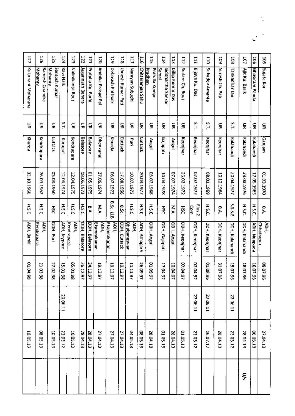| Nalinikanta Rout<br>Jagannath Behera                                                                                   |
|------------------------------------------------------------------------------------------------------------------------|
| Σ,<br>g<br>g<br>S<br>Cuttack                                                                                           |
| Balasore<br>Balasore<br>Kendrapara<br>Koraput                                                                          |
| 01.05.1975<br>08.06.1973<br>12.06.1974<br>12.04.1975                                                                   |
| HSC<br>H.S.C.<br><b>H.S.C.</b><br>۹,<br>DDH, 8alasore<br>DDH, Balasore<br>ADH, Jeypore<br><b>Kendrapara</b><br>РЯ<br>Э |
| 24.12.97<br>05.01.98<br>26.12.97                                                                                       |
|                                                                                                                        |
|                                                                                                                        |
| 28.04.13                                                                                                               |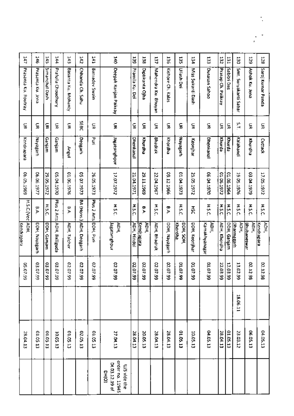| 141                  | 146               | 145            | 144                |                     | 143                    | 142                   | 141            | ă                                                               | 53              | 138                       | 137                 | 136               | 135<br>Ullash Dei    | ķī                | EEI                   | 132                | 131<br>Sabitri Das | 130                       | 521                                      |
|----------------------|-------------------|----------------|--------------------|---------------------|------------------------|-----------------------|----------------|-----------------------------------------------------------------|-----------------|---------------------------|---------------------|-------------------|----------------------|-------------------|-----------------------|--------------------|--------------------|---------------------------|------------------------------------------|
| Prasanta Ku. Routray | Prasanta Ku. Jena | Simanchal Dash | Pratulla Choudhury | Basanta Ku, Mohanty |                        | Chhanda Ch. Sahu      | Baniadev Swain | Deepak Ranjan Paikray                                           | Pramila Ku. Dei | Diptikanta Ojha           | Mahendra Ku. Bhuyan | Kishore Ch. Kalas |                      | Miss Sukanti Dash | <b>Dusasan Sahoo</b>  | Pratap Ch. Paikray |                    | Smt. Suryakanti Sabar     | Ashok Ku. Jena                           |
| 듶<br>포               | g                 | g              | S                  | ç                   | <b>SEBC</b>            |                       | 돞              | 듳                                                               | S               | S                         | 듳                   | ç,                | š                    | 듶                 | S                     | 듶                  | 듳                  | ۲,                        | 듶                                        |
| Kendrapara           | Nayagarh          | Ganjam         | Ganjam             | <b>AnguA</b>        | Deogarh                | ξ                     |                | Jagatsinghpur                                                   | Dhenkanal       | khurdha                   | Bhadrak             | Khordha           | Nayagarh             | Keonjhar          | Dhenkanal             | khurda             | khurda             | Kalahandi                 | Khurdha                                  |
| 06.05.1969           | 06.06.1977        | 29.05.1972     | 05.04.1970         | 01.06.1976          | 22, 27. 1973           | 26.05.1973            |                | 17.07.1972                                                      | 21.04.1971      | 29.11.1969                | 22.04.1967          | 09.12.1966        | 01.04.1973           | 25.05.1972        | 02.04.1970            | 725730             | 01.06.1964         | 19.05.1976                | 03.04.1979                               |
| H.S.C.(Voc ADH.      | B.A               | <b>HIS.C.</b>  | Plus 2 Arts        | ۵,                  |                        | Plus 2 Arts DDH, Plun |                | HS.C.                                                           | H.S.C.          | ያ                         | H.S.C.              | ቻ                 | H.S.C.               | 돐                 | H.S.C.                | <b>H.S.C.</b>      | <b>H.S.C.</b>      | HSL                       | HSL                                      |
| Kendrapara           | DDH, Nayagarh     | DDH, Ganjam    | ADH, Balliguda     | ADH, Talcher        | BA (HODS JADH, Deogarh |                       |                | Jugatsnghpur<br>ADH.                                            | ADH, Hindol     | <b>ADH.</b><br>Kendrapara | ADH, Bhadrak        | DDH, Nayagarh     | Khordha<br>DDH, SOH, | DDH, Keonjhar     | ÌАDН<br>Kamakhyanagar | ADH, Khardha       | DDH, Ganjam        | ADH,<br><u>Dharmagarh</u> | ADH.<br>Kendrapara<br><b>Bhubaneswar</b> |
| 66'40'50             | 03.07.99          | 03.07.99       | 03.07.99           | 02.07.99            | 02.07.99               | 65.07.99              |                | 02.07.99                                                        |                 | 02.07.99<br>02.07.99      | 02.07.99            | 02.07.99          | 66'70'10             | 01.07.99          | 66'40'10              | 22.03.99           | 12.03.99           | 13.02.99                  | 02.12.<br>ė.                             |
|                      |                   |                |                    |                     |                        |                       |                |                                                                 |                 |                           |                     |                   |                      |                   |                       |                    |                    | 18.06.11                  |                                          |
| 28.04.13             | 01.05.13          | 01.05.13       | 10.05.13           | 01.05.13            | 02.05.13               | 01.05.13              |                | 27.04.13                                                        | 28.04.13        | 20.05.13                  | 28.04.13            | 28.04.13          | 61.65.13             | 10.05.13          | 04.05.13              | 28.04.13           | 01.05.13           | 23.03.12                  | 06.05.13                                 |
|                      |                   |                |                    |                     |                        |                       |                | order no. 11945<br>Dt.03.12.19 of<br>U/S vide the<br><b>DHO</b> |                 |                           |                     |                   |                      |                   |                       |                    |                    |                           |                                          |

 $\mathbb{R}^{\mathbb{Z}^2}$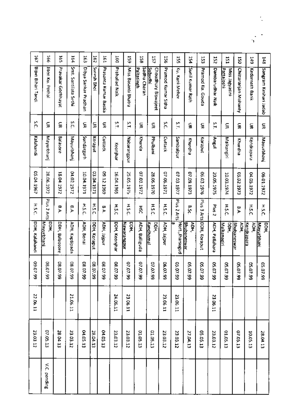| 148  | Sangram Keshari Jadab                 | š              | Mayurbhanj        | 06.01.1972 | нsс           | bbH.<br><u>inayurbhani</u> | 05.07.99                  |          | 28.04.13        |
|------|---------------------------------------|----------------|-------------------|------------|---------------|----------------------------|---------------------------|----------|-----------------|
| 149  | Kedarnath Barik                       | 듷              | Kendrapara        | 04.05.1972 | HSL           | у<br>Т<br>Kendrapara       | 66'40'50                  |          | 10.05.13        |
| ន្ទ  | Chittaranjan Mohanty                  | g              | Khurdha           | 05.02.1973 | e.<br>A       | <b>SPH</b><br>Bhubaneswar  | 40'50<br>$\ddot{\bullet}$ |          | 07.05.13        |
| EST. | <u>Pattajoshi</u><br>Miss Jagyasini   | š              | Malkangiri        | 10.03.1974 | H.S.C.        | Malkanagiri<br>ă           | 10'50<br>56<br>6          |          | 01.05.13        |
| 52   | Dambarudhar Naik                      | S.T.           | lugnA.            | 20.05.1975 | <b>Plus 2</b> | ADH, Pallahara             | 40'50<br>š                | 23.06.11 | 23.03.12        |
| 53   | <b>Pramod Ku. Gooda</b>               | ş              | Koraput           | 06.03.1976 | Plus 3 Arts   | DDH, Koraput               | 66.40.30                  |          | 05.05.13        |
| 154  | Soul Kumar Rath                       | S              | Khurdha           | 07.09.1973 | ۳.            | УDН,<br>Bhubaneswar        | 66'40'50                  |          | 27.04.13        |
| ă    | Ku, Kuri Meher                        | م:<br>ا        | Sambalpur         | 07.03.1977 | Plus 2 Arts   | Hort, Iharsugud            | 65.07.99                  | 23.06.11 | 23.03.12        |
| 55   | Pramod Kumar Sitha                    | š              | Cuttack           | 07.06.1971 | <b>H.S.C.</b> | ADH, Jajpur                | 06.07<br>is.              | 23.06.11 | 23.03.12        |
| 157  | Choudhury Biswajeet<br><u>Subudhi</u> | 듶              | Phulbani          | 28.06.1970 | HSC           | Kandhamai<br>요.<br>모       | 07.07<br>Ġ.               |          | 01.05.13        |
| 851  | Sadhu Charan<br>Paltasingh            | S              | Khurda            | 07.03.1972 | Ř             | ADH, Balliguda             | 7.07<br>Ġ.                |          | 01.05.13        |
| 59   | Miss Basanti Bhatra                   | 5.             | Nabarangpur       | 25.05.1975 | H.S.C.        | ppн,<br>Nawarangpur        | 1020<br>.<br>و            | 23.06.11 | 23.03.12        |
| ä    | Properties Nati-                      | $\overline{1}$ | Keonjhar          | 16.04.1965 | HSC           | DDH, Keonjhar              | C8.07<br>g                | 24.06.11 | 23.03.12        |
| 19T  | Prasanta Kumar Baslia                 | 듳              | Cuttack           | 69612159   | Ç.<br>Þ       | ADH, Jaipur                | <b>08.07</b><br>Ġ.        |          | <b>CT 50 FO</b> |
| ă    | Suresh Bhoi                           | S              | Koraput           | 03.04.1971 | 1.51          | DDH, Koraput               | 08.07.99                  |          | 28,04.13        |
| 163  | Dibya Sankar Pradhan                  | 듶              | <b>Sundargarh</b> | 10.04.1971 | <b>H.S.C.</b> | ADH, Bona                  | 08.07<br>Ś                |          | 04.05.13        |
| 164  | Smt. Santilata Sethi                  | š              | Mayurbhan         | 04.02.1972 | e.4           | ADH, Kaptipada             | 10.80<br>ś                | 21.06.11 | 23.03.12        |
| 597  | Pravakar Gochhayat                    | 듳              | <b>Balasore</b>   | 18.04.1972 | e.<br>A       | DDH, Balaosore             | 08.07.<br>ġ               |          | 28.04.13        |
| 991  | liter ku. Pothal                      | S              | Mayurbhanj        | 28.06.1972 | Plus 2 Arts   | Горн,<br>Mayurbhani        | 08.07.99                  |          | 07.05.13        |
| 1e7  | Bipin Bihari Tandi                    | š              | Kalahandi         | 05.04.1967 | HSC           | DDH, Kalahandi             | 09.07.99                  | 22.06.11 | 23.03.12        |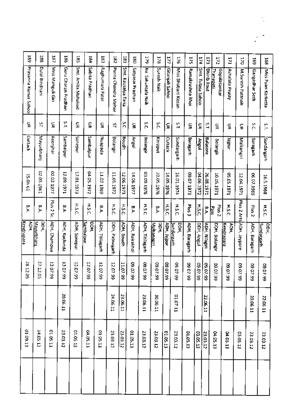| 38                     | 188                | 187               | 381                 | ă                  | 184                 | 53              | 182                 | 181                 | <b>180</b>           | 179                | 178                        | 17              | 176                       | 525              | 174               | 173                | 172                       | 171                      | 170                     | 569               |                           |
|------------------------|--------------------|-------------------|---------------------|--------------------|---------------------|-----------------|---------------------|---------------------|----------------------|--------------------|----------------------------|-----------------|---------------------------|------------------|-------------------|--------------------|---------------------------|--------------------------|-------------------------|-------------------|---------------------------|
|                        |                    |                   |                     |                    |                     |                 |                     |                     |                      |                    |                            |                 |                           |                  |                   |                    |                           |                          |                         |                   | 168                       |
| Prasanna Kumar Sahoo   | Dulal Bindhani     | Miss Manguli Giri | Guru Charan Pradhan | Smt. Amita Mahakud | Sabita Pradhan      | Raghumani Patel | Purna Chandra Meher | Smt. Kausalya Taria | Satyasai Pradhan     | Ku. Sakuntala Naik | Suresh Naik                | Gitanjali Sahoo | Miss Bhabani Kissan       | Ramakrushna Bhoi | Smt. Tulasa Sahoo | <b>Ohirib Rout</b> | Gopalasankar<br>Thanapati | Ashalata Prusty          | M.Suresh Pattnaik       | Gangadhar Seth    | Miss Pyari Kerketta       |
| 듶                      | 5T                 | ç                 | ΣŢ,                 | 듶                  | S                   | 듳               | 씈                   | Š                   | ã                    | š                  | š.                         | £               | Ľ,                        | S                | š                 | ă                  | ă                         | S                        | S                       | š                 | ΣT,                       |
| <b>Cuttack</b>         | Mayurbhanj         | Keanjhar          | Sambalpur           | Sonepur            | Sambalpur           | Pospech         | Bolangir            | Boudh               | Angul                | Bolangir           | Koraput                    | Cuttack         | Sundargarh                | Baragarh         | <b>Angul</b>      | Balasore           | Bolangir                  | undier.                  | Malkangiri              | Baragarh          | Sundargarh                |
| 15.0 <sub>th</sub> .61 | 02.03.1961         | 02.02.1977        | 12.09.1971          | 17.01.1973         | 04.05.1972          | 11.02.1969      | 11.05.1972          | 12.06.1973          | 14.06.1977           | 03.09.1976         | 20.05.1976                 | 14.05.1976      | 16.01.1974                | EZ61 ZO 60       | 04.06.1972        | 26.08.1971         | 10.05.1971                | 1261.30.30               | 12.04.1971              | 06 07.1969        | 16.5.1968                 |
| ቻ                      | a.A                | Plus 2<br>š       | a.                  | H.S.C.             | H.S.C.              | ቻ               | <b>H.S.C.</b>       | HS.C                | ۳,                   | H.S.C.             | ቻ                          | HS.C.           | H.S.C                     | <b>Plus</b>      | HSC               | a.                 | Plus 2<br>Pass            | <b>H.S.C.</b>            |                         | Plus <sub>2</sub> | H.S.C.                    |
| Kendrapara<br>ADH.     | DOH,<br>Mayurbhani | ADH, Champua      | ADH, Kuchinda       | ADH, Sonepur       | Sambalpur<br>р<br>Э | ADH, Titilagarh | DDH, Patnagarh      | ADH, Boudh          | <b>ADH, Rairakho</b> | ACH, Titilagarh    | bDH)<br><b>Malkanagiri</b> | AOH, Jajpur     | <u>Sundargarh</u><br>DDH, | AOH, Baragarh    | DDH, Angul        | ADH, Nilagiri      | DDH, Bolangir             | <b>ADH</b><br>Kendrapara | Plus 2 Arts Acts Arts a | ADH, Baragarh     | рон.<br><b>Sundargach</b> |
| 28.12.05               | 27.12.05           | 13.07.99          | 13.07.99            | 12.07.99           | 12.07.99            | 12.07.99        | 12.07.99            | 11.07.99            | 66.70.80             | 09.07.99           | 66'20'60                   | 1060<br>Y,      | <b>CO.CO</b><br>\$        | 70.60<br>3       | 10.07<br>S,       | 09.07.<br>i8       | 09.07.<br>S.              | 70.60<br>S.              | LO'50<br>S              | 10:60<br>S.       | 10.60<br>S                |
|                        |                    |                   | 20.06.11            |                    |                     |                 | 24.06.11            | 23.06.11            |                      | 23.06.11           | 30.06.11                   |                 | 01.07.11                  |                  |                   | 22.06.11           |                           |                          |                         | 20.06.11          | 22.06.11                  |
| 01.09.13               | 14.05.13           | 01.05.13          | 23.03.12            | 01.05.13           | 04.05.13            | 01.05.13        | 23.03.12            | 23.03.12            | 01.05.13             | 23.03.12           | 23.03.12                   | 01.05.13        | 23.03.12                  | 01.05.13         | 03.05.13          | 23.03.12           | 04.05.13                  | 04.05.13                 | 03.05.13                | 23.03.12          | 23.03.12                  |
|                        |                    |                   |                     |                    |                     |                 |                     |                     |                      |                    |                            |                 |                           |                  |                   |                    |                           |                          |                         |                   |                           |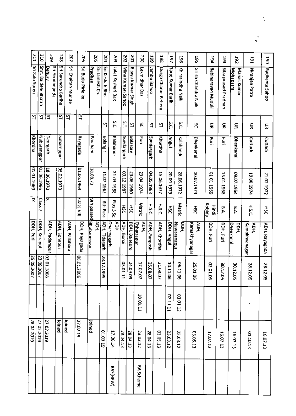| Ξ                       | $\overline{5}$      | 502                             | 202                 | ğ                 | ž                    | 20S         |                           | ÀД<br>g                              | š                 | šQ                 | ă                         | 58                 | 198                 | 197               | 36                  | Ş.                         | <b>bGI</b>         | 593                 | 261                             | tāt                   | 190             |
|-------------------------|---------------------|---------------------------------|---------------------|-------------------|----------------------|-------------|---------------------------|--------------------------------------|-------------------|--------------------|---------------------------|--------------------|---------------------|-------------------|---------------------|----------------------------|--------------------|---------------------|---------------------------------|-----------------------|-----------------|
| Sri Kalu Soren          | Smt. Baidehi Bhatra | Sri Hrudananda<br><u>Dehury</u> | Sri Surendra Bariha | Sri Chaitan Munda | Sri Budu Piridika    | Prachan     | Sri Jamesh Ch.            | Sri Keshab Bhoi<br>Lalat Keshari Bag | Mina Kumari Sahoo | Bijaya Kumar Singh | Laxmidhar Das             | <b>Tambu Barwa</b> | Durga Charan Behera | Saroj Kumar Barik | Khirasindhu Naik    | <b>Girish Chandra Naik</b> | Rabinarayan Muduli | Siba prasad Pradhan | Manas Kumar<br><b>Mohapatra</b> | Niranjan Patra        | Ratikanta Sahoo |
| ន្ទ                     | 썈                   | 녘                               | 학                   | 5                 | 뎤                    |             | 띡                         | š                                    | ŠΤ,               | 4                  | κ                         | 쭠                  | 옄                   | ň                 | ř                   | ጃ                          | S                  | S                   | g                               | ş                     | g               |
| Khordha                 | Nabarangpur         | Deorgarh                        | <b>undeuseqns</b>   |                   | Rayagada             | Phulbani    | Bolangir                  | <b>Kalebapato</b>                    | Sundargarh        | Balasore           | 골                         | Sundargarh         | Khurdha             | <b>LugnA</b>      | Kalahandi           | Dhenkanal                  | ؏                  | Рáп<br>Г            | Dhenkanal                       | Cuttack               | Cuttack         |
| 01.01.1969              | 01.06.1966          | 18.06.1970                      | 05.02.1970          |                   | 01.06.1964           | 18.08.71    | 11.07.1963                | 31.03.1988                           | 03.12.1987        | 23.06.1980         | 23.04.1974                | 04.05.1963         | 15.06.1977          | 20.09.1979        | 28.06.1972          | 10.07.1973                 | 6961.1010          | 15.01.1968          | 09.07.1964                      | 19.06.1974            | 21.02.1972      |
| $\overline{\mathbf{x}}$ | Ssep-<br>N          | ⋝                               |                     |                   | llin <sub>sser</sub> | bessed uit  | 8th Pass                  | Plus 3 Sc.                           | ន្តី              | ន្តី               | Matric                    | <b>H.S.C.</b>      | H.S.C.              | ξP                | Matric              | ន្តី                       | kobida<br>Hindi    | ۳,                  | n<br>P                          | H.S.C.                | ŠН              |
| DDH, Puri               | DDH, Koraput        | ADH, Padampur                   | ADH, Sonepur        | ADH, Pallahara    | DDH, Rayagada        | Bhubaneswar | AOH,<br>ADH,<br>Titlagarh | ADH.<br><u>Dharmagarh</u>            | ADH, Bonai        | DDH, Balasore      | АDH,<br><b>Chhatrapur</b> | ADH, Panposh       | ADH, Khordha        | DDH, Angul        | PDH,<br>Nawarangpul | Kamakhyanagar<br>ACA.      | <b>DDH, Puri</b>   | DOH, Puri           | <u>Dhenkanal</u><br>모<br>모      | Kamakhyanagar<br>ADH. | ADH, Rayagada   |
| 25.08.2007              | 23.08.2007          | 403.01.2006                     |                     |                   | 06.01.2006           |             | 28.12.1995                |                                      | 05.01.<br>븝       | 54.09.09           | 17.07.07                  | 25.08.07           | 21.08.07            | ntrot<br>8        | 06.11.<br>ទ         | 25.01.<br>g                | 02.01.06           | 30.12.<br>Я         | 20.12<br>g                      | 28.12<br>S.           | 28.12.<br>g     |
|                         |                     |                                 |                     |                   |                      |             |                           |                                      |                   |                    | 18.06.11                  |                    |                     | 11'11'10          | 03.01.12            |                            |                    |                     |                                 |                       |                 |
| 28.02.2019              | 27.02.2019          | 27.02.2019                      | Joined              | pauor             | 27.02.19             | Joined      | 01.63.19                  | 17.06.14                             | 28.04.13          | 28.04.13           | 23.03.12                  | 28.04.13           | 03.05.13            | 23.03.12          | 23.03.12            | 03.05.13                   | 17.07.13           | 16.07.13            | 16.07.13                        | 01.10.13              | 16.07.13        |
|                         |                     |                                 |                     |                   |                      |             |                           | <b>RAS(HEW)</b>                      |                   |                    | <b>RA Scheme</b>          |                    |                     |                   |                     |                            |                    |                     |                                 |                       |                 |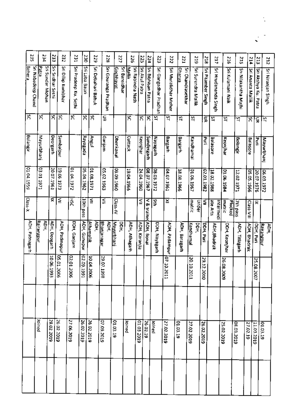| 235                                 | 234                       | 233               | 232                | 231                   | 230                 | 525                | 822                        | 777                | š                                           | 225            | 224                | 223                   | zz                   | rΖZ                                |                          |                    |                      |                   |                     |                     |                      |                    |
|-------------------------------------|---------------------------|-------------------|--------------------|-----------------------|---------------------|--------------------|----------------------------|--------------------|---------------------------------------------|----------------|--------------------|-----------------------|----------------------|------------------------------------|--------------------------|--------------------|----------------------|-------------------|---------------------|---------------------|----------------------|--------------------|
|                                     |                           |                   |                    |                       |                     |                    |                            |                    |                                             |                |                    |                       |                      |                                    | 51Z                      | 218                | 217                  | 91 Z              | 215                 | 214                 | 213                  | 212                |
| Sri Nabadeep Chand<br><b>Behere</b> | Sri Sundar Mohan<br>Patra | Sri Sridhar Sethi | Sri Dillip Kumbhar | Sri Pradeep Ku, Sethi | Sri Laba Bauri      | Sri Debahari Bahuk | Sri Gouranga Pradhan       | Gochhayat          | Srl Bansidhar<br>Sri Rabindra Nath<br>Nalli | Sri Akul Patra | Sri Bibhisan Patra | Sri Gangadhar Pradhan | Sri Muralidhar Meher | Sri Chandrasekhar<br><b>Oharua</b> | Sri Surendra Mallik      | Sri Pitamber Singh | Srl Hrudananda Singh | Sri Kulamani Naik | Sn Nilakantha Majhi | Sri Ananta Mallik   | Sri Akshya Ku. Patra | sri Niranjan Singh |
| Χ                                   | ន                         | প্ল               | ধ্র                | প্ল                   | Χ                   | Χ                  | 듶                          |                    | Χ                                           | ৪              | শ্ব                | 2                     | ঐ                    | ន                                  | 2                        | g                  | 51                   | ন্ন               | ধ্য                 | ក                   | S                    | ξİ                 |
| Bolangir                            | Mayurbhani                | <b>Deorgarh</b>   | Sambalput          |                       | <b>Rayagada</b>     | Angul              | Ganjam                     | Dhenkanal          | Cuttack                                     | Keonjhar       | Sundergarh         | Mayagarh              | Bargarh              | Bargarh                            | Kandhamal                | š                  | Balasore             | Keonjhar          | Bolangir            | Balasore            | ind.                 | Mayurbhanj         |
| 01.04.1959                          | 103.01.1971               | 20.07.1961        | 19.06.1973         | 2761.00.19            | 05.04.1962          | 01.08.1971         | 05.02.1963                 | 09616060           | 19.04.1966                                  | 24.04.1960     | 08.07.1967         | 28.03.1972            | 04.07.1961           | 18.08.1966                         | 01.06.1967               | 22.01.1982         | 18.02.1988           | 01.06.1984        | 12.02.1971          | 9961'50'50          | 20.07.1976           | 26.03.1972         |
| Class-X                             |                           | ₹                 | ≦                  | Ř                     | ased upt            | ≦                  | ≦                          | Class-IV           |                                             | ≦              | V& trained         | ş                     | ×                    |                                    | matric<br>Under          | ξ                  | ate Arts<br>Intermed | matric<br>Piucked | 7th pass            | Class-VIII          | ≅                    |                    |
| ADH, Patnagarh                      | ADH.<br>Rairangpur        | AOH, Deogarh      | ADH, Padmapur      | DDH, Ganjam           | <b>ADH, Gunupur</b> | Athamallik<br>ADH. | АOН.<br><u>Bhanjanagar</u> | Mayurbhani<br>DSH. | ADH, Athagarh                               | ADH, Karanjia  | ADH, Bonai         | DDH, Nayagarh         | ADH, Padampur        | ADH, Baragarh                      | <u>Kandhamal</u><br>DOH. | DDH, Puri          | ADH, Bhadrak         | DDH, Keonjhar     | ADH, Titlagarh      | <b>ADH, Bhadrak</b> | DDH, Puri            | Rairangpur<br>ADH. |
|                                     |                           | 10.06.1993        | 05.01.2006         | 02.01.2006            | 12.09.1991          | 10.04.2006         | 29.07.19<br>没              |                    |                                             |                |                    |                       | 07.10.2011           |                                    | 1020102011               | 29.12.2010         |                      | 26.08.2009        |                     |                     | 25.08.20<br>ξ        |                    |
|                                     |                           |                   |                    |                       |                     |                    |                            |                    |                                             |                |                    |                       |                      |                                    |                          |                    |                      |                   |                     |                     |                      |                    |
|                                     | boined                    | 28.02.2019        | 26.02.2019         | 27.06.2019            | 26.02.2019          | 26.02.2019         | 07.09.2019                 | 01.03.19           | Joined                                      | 6102.6010      | 26.02.19           | plast                 | 27.02.2019           | 01.03.19                           | 27.02.2019               | 26.02.2019         |                      | 25.02.2019        | 08.03.2019          | 27.02.19            | 11.03.2019           | 01.03.19           |
|                                     |                           |                   |                    |                       |                     |                    |                            |                    |                                             |                |                    |                       |                      |                                    |                          |                    |                      |                   |                     |                     |                      |                    |

 $\cdot$  .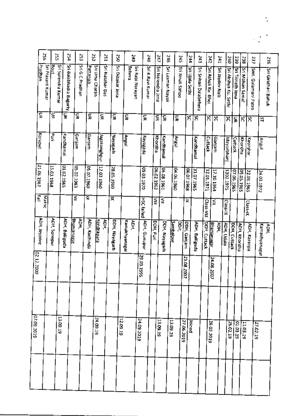|                     | šŚ                | šŠ                         | ř                      | ξS                        | 252           | ΓSΖ                               | š                | GP <sub>C</sub>       | S4S                                         | 547               | 912              |                          | 245                | tř<br>243              | 242                | č                          | 01Z                  | 6£7              | 238                 | 737                  |                     |
|---------------------|-------------------|----------------------------|------------------------|---------------------------|---------------|-----------------------------------|------------------|-----------------------|---------------------------------------------|-------------------|------------------|--------------------------|--------------------|------------------------|--------------------|----------------------------|----------------------|------------------|---------------------|----------------------|---------------------|
| Pradhan             | Sri Prasant Kumar | Sri Surendra Kumar<br>Rout | Sri Balabhadra Bagurty | Sri G.C.Pradhan           | Pattanaik     | Sri Uma Charan<br>Sri Natabar Das | Sri Dibakar Jena | Behera                | Sri Rabi Narayan<br><b>Sri K.Ravi Kumar</b> | Sri Narendra Jena | Sri Laxman Nayak | Sri Janak Sahoo          | Sri Ujala Sethl    | Sri Srihari Dalabehera | Sri Ashok Ku. Bhoi | Sri Jaydev Naik            | Sri Akshya Ku, Sethi | Sri Trinath Jena | Sri Mohan Samal     | Smt. Gulamani Patro  | Sri Giridhari Bahuk |
| 듷                   |                   | g                          | g                      | ζ                         | इ             | ξ                                 | 듳                | g                     | ã                                           | 듲                 | ξ                | ş                        | ន                  | শ্ল                    | ន                  | ৼ                          | য়                   | 듳                | ន                   | শ্ল                  | <u>ន</u>            |
| Koraput             |                   | ट्र<br>इ.                  | Kandharnal             | Ganjam                    | Garjam        | Jagatsinghpur                     | Hayagarh         | Angul                 | epezekey                                    | Khordha           | Kandhamal        | Angul                    |                    | Kandhamal              | Cuttack            | Ganjam                     | Mayurbhan            | Cuttack          | Khordha             | Keonjhar             | Angul               |
| 21.06.1967          |                   | 15.03.1968                 | 01.02.1965             | 05.02.1963                | 05.07.1960    | 12.03.1960                        | 28.05.1960       |                       | 0261.50.60                                  | 06.02.1962        | 06.08.1961       | 04.06.1960               | 06.07.1968         | 31.07.1965             | 12.01.1971         | 17.10.1964                 | 1302.1975            | 07.06.1965       | 05.05.1965          | 22.01.1965           | 24.03.1972          |
| 할                   | Matric            |                            |                        | ≦                         | 슟             |                                   | द्र              |                       | HSC failed                                  | ≦                 | ≦                |                          | ×                  |                        | Class-VIII         | ≦                          | $Class-IX$           |                  |                     | Class-IX             |                     |
| <b>ADH, Jeypore</b> |                   | ADH. Sonepur               | <b>ADH, Baliguda</b>   | <u>Bhanianagar</u><br>урн | ADH, Kuchinda | 훈<br><u>Kendrapara</u>            | DDH, Nayagarh    | Kamakhyanagar<br>АDН, | <b>ADH, Gunupur</b>                         | DDH, Puri         | DDH, Nayagarh    | <b>Sambalpur</b><br>Эен, | <b>CDH, Ganjam</b> | ADH, Balliguda         | DDH, Cuttack       | <u> Əhanjanagar</u><br>ăрн | ADH, Udala           | DDH, Cuttack     | <b>ADH, Khordha</b> | <b>ADH, Karanjia</b> | Kamakhyanagar       |
| 02.12.2000          |                   |                            |                        |                           |               |                                   |                  |                       | 29.03.1995                                  |                   |                  |                          | 23.08.2007         |                        |                    | 24.08.2007                 |                      |                  |                     |                      |                     |
|                     |                   |                            |                        |                           |               |                                   |                  |                       |                                             |                   |                  |                          |                    |                        |                    |                            |                      |                  |                     |                      |                     |
| 07.09.2019          |                   |                            | 13.09.19               |                           |               | 24.09.19                          |                  | 12.09.19              | 24.09.2019                                  | 13.09.19          |                  | 13.09.19                 | 27.06.2019         | baned                  | 26.02.2019         |                            | 26.02.19             | 01.03.19         | 11.03.19            | 27.02.19             |                     |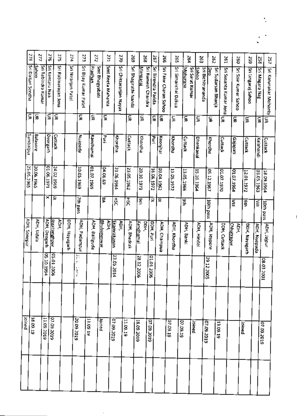| Joined          |                   |                                   |           |                 |                  |   |                                           |             |
|-----------------|-------------------|-----------------------------------|-----------|-----------------|------------------|---|-------------------------------------------|-------------|
|                 |                   | ADH, Soncpur                      |           | 25.05.1965      | Sambalpur        | ξ | Sri Daillari Sendha                       | $\approx$   |
| <b>18.09.19</b> |                   | ADH, Udala                        |           | 20.06.1965      | Balasore         | 듷 | Sahoo                                     |             |
| 11.09.2019      | 05.10.199         |                                   |           |                 |                  |   | Sri Rabindra Kumar                        | $\tilde{a}$ |
|                 |                   | ADH, Deogarh                      | ×         | 01.06.1971      | <b>Deorgarh</b>  | š | Sri Kentaru Naik                          | 276         |
| 07.09.2019      | 05.01.2006        | ADH.<br>lagatsinghpur             | ≅         | 24.02.1969      | Cuttack          | ξ | Sri Rabinarayan Jena                      | 575         |
|                 |                   | DDH, Nayagarh                     |           |                 |                  |   | Sri Niranjan Pate                         | 274         |
| 20.09.2019      | þ<br>ŗ.<br>ÿ<br>v | ADH, Padampur                     | 7th pass  | 10.05.1969      | epedenN          | 듳 | Sri Bijay Kumar Patel                     | 273         |
| 11.09.19        |                   | ADH, Balliguda                    |           | 01.07.1969      | Kandhamai        | 듳 | Prachan                                   | 272         |
| Joined          |                   | <u>Bhubaneswar</u>                | ቜ         | <b>04.06.69</b> | न<br>इ           | ξ | Smt Bhagyabati<br>Smt Reeta Mahanta       |             |
| 07.09.2019      | 23.05.201<br>Ξ    | ADH,<br>Ekamrakanan<br><b>ADH</b> | Ηk        | 21.06,1964      | Khordha          |   | Sri Chittaranjan Nayak                    | 271<br>ΩΩ   |
| 11.09.19        |                   | ADH, Bhadrak                      | 됽         | 23.05.1962      | Cuttack          | g | Sri Bhagirathi Nanda                      | 692         |
| 18.09.2019      | 28.12.2006        | Kandhamal<br>рон,                 | 9th       | 20.10.1973      | Khordha          | 듳 | Mangarai                                  | 268         |
| 07.09.2019      | 90021010          | DDH, Puri                         | 귯         | 16.06.1972      | <b>Pu</b>        | ş | Sri Ramesh Chandra<br>Sri Birendra Parída | 567         |
|                 |                   | <b>ADH, Champua</b>               | ≅         | 29.04.1962      | Keonjhar         | g | Sri Fakır Charan Sahoo                    | ă           |
| 07.09.19        |                   | <b>ADH, Khordha</b>               |           | 11.05.1972      | Khordha          | 듳 | Sri Simanchal Dakua                       | 592         |
| 07.09.19        |                   | ADH, Banki                        | ξ         | 13.05.1966      | Cuttack          | S | Moharana                                  | 264         |
| loined          |                   |                                   |           | 15.10.1964      | <b>Dhenkanal</b> |   | Sri Sarat Kumar<br><b>Sahoo</b>           |             |
| 07.09.2019      | 29.12.2005        | ADH, Hindol                       |           |                 |                  | ç | Sri Bichitrananda                         | Š           |
|                 |                   | <b>ADH, Jeypore</b>               | JOth pass | 05.12.1967      | Khordha          | ξ | Sri Sudarsan Bhanja<br>e<br>G             | 292         |
| 13.09.19        |                   | DDH, Cuttack                      |           | 01.07.1970      | Cuttack          | ç | Sri Susanta Kumar Jena                    | 197         |
|                 |                   | Chhatraour<br>ADH.                | ⋚         | 01.07.1964      | Gajapati         | š | Sri Sisir Kumar Sahoo                     | 260         |
| Joined          |                   | DDH, Nayagarh                     | ys j      | 12.01.1972      | Cuttack          | S | Sri Lingaraj Sahoc                        | 52          |
| 07.09.2019      |                   | ADH, Nuapada                      | ĔΠ        | 03.05.1963      | Kalahandi        | S | Sri Magara Nag                            | 252         |
|                 | 08.03.2<br>g      | ADH, Jalpur                       | 10th pass | 18.09.1964      | Cuttack          | Ξ | Sri Karunakar Mohanty                     | 257         |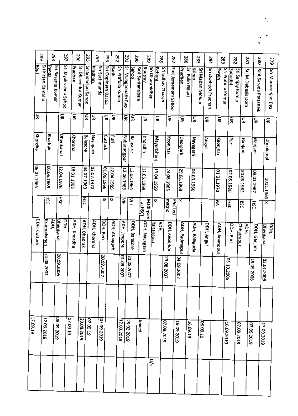|          | 66Z          |                    | š          |                   | 797                   |                | 596                 | š                  | ğ                   | 293                                   |               | 292                | 162                 |               | š               | 68Z           |                 |               | 288              | 287                |            | 382            |                  | 285            |                 | 284                 |                      | 283                | 282            |                  | 182                |                      | 280            | 6.Z                |
|----------|--------------|--------------------|------------|-------------------|-----------------------|----------------|---------------------|--------------------|---------------------|---------------------------------------|---------------|--------------------|---------------------|---------------|-----------------|---------------|-----------------|---------------|------------------|--------------------|------------|----------------|------------------|----------------|-----------------|---------------------|----------------------|--------------------|----------------|------------------|--------------------|----------------------|----------------|--------------------|
|          | <b>Rout</b>  | Sri Kirtan Kambhu  | epued      | Sri Basanta Kumar | Sri Jayakrishna Sahoo | <u>Pradhan</u> | Sri Dhirendra Kumar | Sri Sudarsan Sahoo | Pradhan             | Sri Sachinanda<br>Sri Gopinath Bastia | <b>Barik</b>  | Sri Prafulla Kumar | Sri M.Jagannath Rao | Sahoo         | Smt Santanubala | Routray       | Sri Dharanidhar | <u>Behera</u> | Sri Udhav Charan | Smt Jemamani Sahoo |            | <u>Prachan</u> | Srl Pulin Bihari | <b>Sahoo</b>   | Sri Madan Mohan | Sri Dwibedi Pradhan | <u>Aiswel</u>        | Sri Prafulla Kumar | <u>idbudu?</u> | Sri Sanjay Kumar | Srl M.Debasis Dora | Smt Sarada Pattanaik |                | Sri Manoranjan Das |
|          | š            |                    |            |                   | š                     | g              |                     | g                  | 듳                   | s                                     | 듷             |                    | š                   | 듶             |                 | 듷             |                 | g             |                  | ă                  |            | 듳              |                  | g              |                 | Š                   | š                    |                    | ş              |                  | 듶                  | 듷                    |                | ड्र                |
|          | Khordha      |                    | Bhadrak    |                   | Dhenkanal             | Khordha        |                     | Balasore           | Nayagarh            | Cuttack                               | E             |                    | Nabarangpur         | Balasore      |                 | Khordha       |                 | Mayurbhani    |                  | Keonjhar           |            | Deorgarh       |                  | Nayagarh       |                 | kngul.              | Keonjhar             |                    | $\vec{E}$      |                  | Ganjam             | Ganjam               |                | Dhenkanal          |
|          | 06.07.1966   |                    | 06.06.1965 |                   | 12.04.1976            | 18.01.1965     |                     | 04.07.1963         | 02:07.1970          | 01.06.1966                            | 22.04.1965    |                    | 12.06.1963          | 13.08.1961    |                 | 11.05.1969    |                 | 13.04.1969    |                  | 24.06.1965         |            | 29.06.1968     | 04.03.1966       |                |                 |                     | 0261.1970            |                    | 02.05.1980     |                  | 30.05.1983         | 109-01.1967          | 1011.1965 X    |                    |
|          |              |                    | χ          | $\frac{1}{25}$    |                       |                |                     | 푅                  |                     | ₹                                     | 귯             |                    | ⋚                   | Ξ             | <b>ANISCI</b>   | Madhyam       |                 | ≅             |                  | matric<br>Plucked  |            | ×              |                  |                |                 |                     | F                    |                    | <b>HSC</b>     |                  | <b>BSC</b>         | ЯÄ                   |                |                    |
|          | DDH, Cuttack | <u>Ekamrakanan</u> | урн.<br>Э  | <b>Dhenkanal</b>  | роні,                 | ADH, Khordha   | ADH, Bhadrak        |                    | <b>ADH, Khordha</b> | DDH, Puri                             | ADH, Athagarh | ADH, Jeypore       |                     | DDH, Balasore |                 | DDH, Nayagarh | Rairangpur      | AOH,          |                  | DDH, Keonjhar      |            | ADH, Padmapur  |                  | ADH, Balliguda |                 | DDH, Angul          | <b>ADH, Anandpur</b> |                    | DDH, Purl      | Chhatrapur       | ADH,               | DOH, Ganjam          | Dhenkanal      | уна<br>Э           |
|          |              | 31.08.2007         |            | 20.09.2006        |                       |                |                     |                    |                     | 20.08.200<br>◡                        |               | 1002'6010          | 21.08.2007          |               |                 |               |                 |               | 29.08.2007       |                    | 04.09.2007 |                |                  |                |                 |                     |                      | 05.10.2006         |                |                  |                    | 19.09.21<br>¦§       | 203.01.20<br>g |                    |
|          |              |                    |            |                   |                       |                |                     |                    |                     |                                       |               |                    |                     |               |                 |               |                 |               |                  |                    |            |                |                  |                |                 |                     |                      |                    |                |                  |                    |                      |                |                    |
| 17.09.19 |              | 12.09.2019         |            | 08.09.2019        |                       | 61'60'70       | 23.09.2019          | 07.09.19           |                     | 07.09.2019                            |               | 12.09.2019         | 25.02.2019          |               | Joined          |               |                 |               | 07.09.2019       |                    | 19.09.2019 |                | 16.09.19         |                | 61.60.90        |                     |                      | 16.09.2019         |                | 07.09.2019       |                    | 07.09.2019           | 13.09.2019     |                    |
|          |              |                    |            |                   |                       |                |                     |                    |                     |                                       |               |                    |                     |               |                 |               | ş               |               |                  |                    |            |                |                  |                |                 |                     |                      |                    |                |                  |                    |                      |                |                    |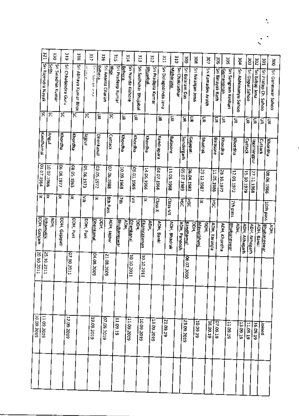|             | 12E                | ÖΕ<br>Sethi |                          | 6Ľ                  | ă                     |            | ίīξ                           | 316                 | 512                       | <b>PIE</b> |                          | ξĽέ                                      | 312                | 311                  |                 | <b>OTE</b>          | ğ                | ğ                 | ίOξ                              |                      | ă                                      | 302                 | ğ                    | ä               | ă               |                                 |
|-------------|--------------------|-------------|--------------------------|---------------------|-----------------------|------------|-------------------------------|---------------------|---------------------------|------------|--------------------------|------------------------------------------|--------------------|----------------------|-----------------|---------------------|------------------|-------------------|----------------------------------|----------------------|----------------------------------------|---------------------|----------------------|-----------------|-----------------|---------------------------------|
|             | Sn Rajendra Nayak  |             | <b>Sri Swadhin Kumar</b> | Sri Chhabindra Guru | Sri Abhaya Kumar Bhoi | a sacar    | Beating a sig-<br>Behera<br>į | Sri Ananta Charan   | Sri Pradeep Kumar<br>Bhoi | Behera     | Sri Nanda Kishore        | Sri Sudhakar Bhujabal<br><b>Bullabal</b> | Sri Pradipta Kumar | Sri Dolagobinda Jena | <b>Maharana</b> | Sn Chakradhar       | Sri Balaram Das  | Sri Niranjan Jena | Sri Kamadev Arakh                |                      | Sri Binayak Rath<br><u>Gumansningh</u> | Sri Sangram Keshari | Sn Abhlmanyu Sahoo   | Sri Gopal Sahoo | Sri Babaji Jena | Sri Pratap Ch. Sahoo            |
|             | Ά                  | ጽ           | ਲ਼                       |                     | ਲ਼                    | గ          | 듳                             | Χ                   |                           | ş          | 듳                        |                                          |                    | 듳                    | 듷               |                     | £                | 듳                 | g                                |                      | S<br>g                                 |                     | 듷                    | š               | g               | S                               |
|             | Kandhamal          | lugnA       | Khordha                  |                     | Khordha               | lugjetr    | <b>Chenkanal</b>              | Cuttack             |                           | Khordha    | Khordha                  | Khordha                                  | Kendrapara         |                      | Balasore        | Sundergarh          | dajapati         |                   | Bhadrak                          | Balasore             | Khordha                                | Khordha             |                      | Cuttack         | Jagatsingpur    | Cuttack                         |
|             | 01.07.1964         | 10.07.1966  | 06.08.1977               |                     | 08.05.1965            | 05.06.1973 | 03.05.1972                    | 07.06.1988          |                           | 10.09.1969 | 09.01.1969               | 14.06.1966                               | 04.07.1966         |                      | 11.05.1968      | 05.07.1989          | 06.04.1983       |                   | 23.12.1987                       | 11.05.1986           | 28.10.1977                             | 12.01.1972          |                      | 15.10.1979      | 27.11.1968      |                                 |
|             | ≅                  | 륯           | ×                        |                     | ₹                     | ≦          | ≅                             | Sth Pass            |                           | š          | ≦                        | ≅                                        | Class-X            |                      | Class-VII       | <b>RN</b>           | ξŘ               |                   | ≅                                | ŠЧ                   |                                        | 7th pass            |                      |                 |                 |                                 |
| DDH, Ganjam | <u>Alliamallik</u> | AOH,        | DDH, Gajapati            |                     | DDH, Purl             | DDH, Puri  | <u>Dhenkanal</u>              | DDH.<br>AOH, Jajpur | <u>Bhubaneswar</u>        | уя,        | наа!<br><u>Dhenkanal</u> | <u>Ekamrakanan</u>                       | ADH,               | ADH, Banki           | ADH, Bhadrak    | <b>ADH, Panposh</b> | <u>kandhamal</u> | ÎЯ                | <u>Mayurbhani</u><br><b>DOH,</b> | <b>ADH, Karanjia</b> | <b>ADH, Khordha</b>                    | <u>Bhubaneswar</u>  | ĨФ,<br>ACH, Athagarh | ADH, Athagarh   |                 | ADH, Banki<br><b>Bwsansawar</b> |
| 20.10.2011  | 25.10.201          |             |                          | 07.10.2011          |                       |            | 04.08.2009                    | 21.08.2009          |                           |            | 10.10.20<br>Ξ            | 1020101                                  |                    |                      |                 |                     | 06.07.2010       |                   |                                  |                      |                                        |                     |                      |                 |                 |                                 |
|             |                    |             |                          |                     |                       |            |                               |                     |                           |            |                          |                                          |                    |                      |                 |                     |                  |                   |                                  |                      |                                        |                     |                      |                 |                 |                                 |
| 10.09.2019  | 11.09.2019         |             |                          | 2.09.2019           |                       |            | 19.09.2019                    | 07.09.2019          | 11.09.19                  |            | 11.09.2019               | 10.09.2019                               | 13.09.2019         | 21.09.19             |                 |                     | 23.09.2019       | 10.09.19          |                                  | 16,09.19             | 07.09.19                               | 11.09.19            | 13.09.19             | 11.09.19        | 16.09.19        | pauor                           |